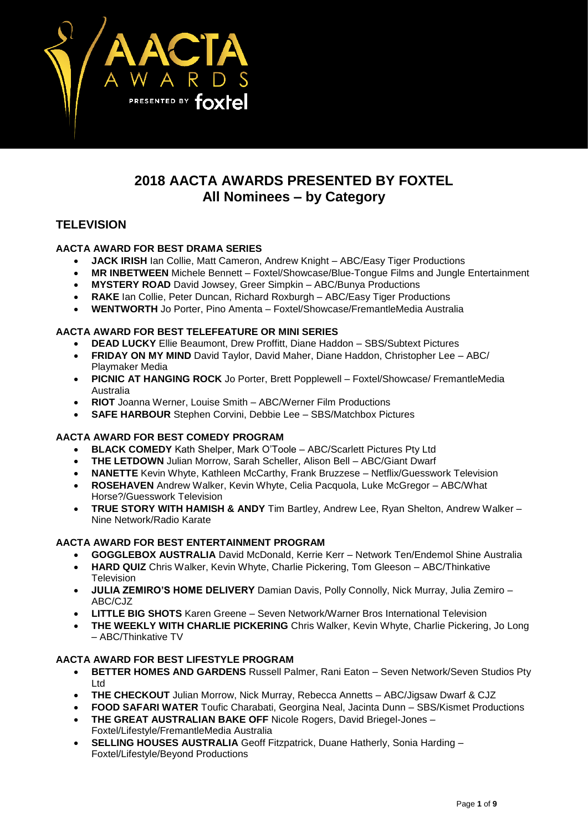

# **2018 AACTA AWARDS PRESENTED BY FOXTEL All Nominees – by Category**

# **TELEVISION**

# **AACTA AWARD FOR BEST DRAMA SERIES**

- **JACK IRISH** Ian Collie, Matt Cameron, Andrew Knight ABC/Easy Tiger Productions
- **MR INBETWEEN** Michele Bennett Foxtel/Showcase/Blue-Tongue Films and Jungle Entertainment
- **MYSTERY ROAD** David Jowsey, Greer Simpkin ABC/Bunya Productions
- **RAKE** Ian Collie, Peter Duncan, Richard Roxburgh ABC/Easy Tiger Productions
- **WENTWORTH** Jo Porter, Pino Amenta Foxtel/Showcase/FremantleMedia Australia

### **AACTA AWARD FOR BEST TELEFEATURE OR MINI SERIES**

- **DEAD LUCKY** Ellie Beaumont, Drew Proffitt, Diane Haddon SBS/Subtext Pictures
- **FRIDAY ON MY MIND** David Taylor, David Maher, Diane Haddon, Christopher Lee ABC/ Playmaker Media
- **PICNIC AT HANGING ROCK** Jo Porter, Brett Popplewell Foxtel/Showcase/ FremantleMedia Australia
- **RIOT** Joanna Werner, Louise Smith ABC/Werner Film Productions
- **SAFE HARBOUR** Stephen Corvini, Debbie Lee SBS/Matchbox Pictures

### **AACTA AWARD FOR BEST COMEDY PROGRAM**

- **BLACK COMEDY** Kath Shelper, Mark O'Toole ABC/Scarlett Pictures Pty Ltd
- **THE LETDOWN** Julian Morrow, Sarah Scheller, Alison Bell ABC/Giant Dwarf
- **NANETTE** Kevin Whyte, Kathleen McCarthy, Frank Bruzzese Netflix/Guesswork Television
- **ROSEHAVEN** Andrew Walker, Kevin Whyte, Celia Pacquola, Luke McGregor ABC/What Horse?/Guesswork Television
- **TRUE STORY WITH HAMISH & ANDY** Tim Bartley, Andrew Lee, Ryan Shelton, Andrew Walker Nine Network/Radio Karate

# **AACTA AWARD FOR BEST ENTERTAINMENT PROGRAM**

- **GOGGLEBOX AUSTRALIA** David McDonald, Kerrie Kerr Network Ten/Endemol Shine Australia
- **HARD QUIZ** Chris Walker, Kevin Whyte, Charlie Pickering, Tom Gleeson ABC/Thinkative Television
- **JULIA ZEMIRO'S HOME DELIVERY** Damian Davis, Polly Connolly, Nick Murray, Julia Zemiro ABC/C.IZ
- **LITTLE BIG SHOTS** Karen Greene Seven Network/Warner Bros International Television
- **THE WEEKLY WITH CHARLIE PICKERING** Chris Walker, Kevin Whyte, Charlie Pickering, Jo Long – ABC/Thinkative TV

### **AACTA AWARD FOR BEST LIFESTYLE PROGRAM**

- **BETTER HOMES AND GARDENS** Russell Palmer, Rani Eaton Seven Network/Seven Studios Pty Ltd
- **THE CHECKOUT** Julian Morrow, Nick Murray, Rebecca Annetts ABC/Jigsaw Dwarf & CJZ
- **FOOD SAFARI WATER** Toufic Charabati, Georgina Neal, Jacinta Dunn SBS/Kismet Productions • **THE GREAT AUSTRALIAN BAKE OFF** Nicole Rogers, David Briegel-Jones –
- Foxtel/Lifestyle/FremantleMedia Australia
- **SELLING HOUSES AUSTRALIA** Geoff Fitzpatrick, Duane Hatherly, Sonia Harding Foxtel/Lifestyle/Beyond Productions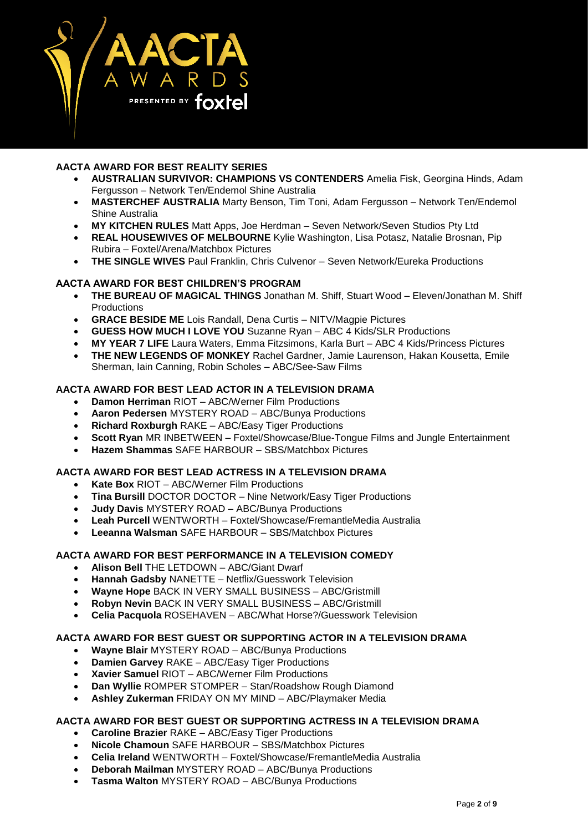

# **AACTA AWARD FOR BEST REALITY SERIES**

- **AUSTRALIAN SURVIVOR: CHAMPIONS VS CONTENDERS** Amelia Fisk, Georgina Hinds, Adam Fergusson – Network Ten/Endemol Shine Australia
- **MASTERCHEF AUSTRALIA** Marty Benson, Tim Toni, Adam Fergusson Network Ten/Endemol Shine Australia
- **MY KITCHEN RULES** Matt Apps, Joe Herdman Seven Network/Seven Studios Pty Ltd
- **REAL HOUSEWIVES OF MELBOURNE** Kylie Washington, Lisa Potasz, Natalie Brosnan, Pip Rubira – Foxtel/Arena/Matchbox Pictures
- **THE SINGLE WIVES** Paul Franklin, Chris Culvenor Seven Network/Eureka Productions

### **AACTA AWARD FOR BEST CHILDREN'S PROGRAM**

- **THE BUREAU OF MAGICAL THINGS** Jonathan M. Shiff, Stuart Wood Eleven/Jonathan M. Shiff **Productions**
- **GRACE BESIDE ME** Lois Randall, Dena Curtis NITV/Magpie Pictures
- **GUESS HOW MUCH I LOVE YOU** Suzanne Ryan ABC 4 Kids/SLR Productions
- **MY YEAR 7 LIFE** Laura Waters, Emma Fitzsimons, Karla Burt ABC 4 Kids/Princess Pictures
- **THE NEW LEGENDS OF MONKEY** Rachel Gardner, Jamie Laurenson, Hakan Kousetta, Emile Sherman, Iain Canning, Robin Scholes – ABC/See-Saw Films

### **AACTA AWARD FOR BEST LEAD ACTOR IN A TELEVISION DRAMA**

- **Damon Herriman** RIOT ABC/Werner Film Productions
- **Aaron Pedersen** MYSTERY ROAD ABC/Bunya Productions
- **Richard Roxburgh** RAKE ABC/Easy Tiger Productions
- **Scott Ryan** MR INBETWEEN Foxtel/Showcase/Blue-Tongue Films and Jungle Entertainment
- **Hazem Shammas** SAFE HARBOUR SBS/Matchbox Pictures

### **AACTA AWARD FOR BEST LEAD ACTRESS IN A TELEVISION DRAMA**

- **Kate Box** RIOT ABC/Werner Film Productions
- **Tina Bursill** DOCTOR DOCTOR Nine Network/Easy Tiger Productions
- **Judy Davis** MYSTERY ROAD ABC/Bunya Productions
- **Leah Purcell** WENTWORTH Foxtel/Showcase/FremantleMedia Australia
- **Leeanna Walsman** SAFE HARBOUR SBS/Matchbox Pictures

### **AACTA AWARD FOR BEST PERFORMANCE IN A TELEVISION COMEDY**

- **Alison Bell** THE LETDOWN ABC/Giant Dwarf
- **Hannah Gadsby** NANETTE Netflix/Guesswork Television
- **Wayne Hope** BACK IN VERY SMALL BUSINESS ABC/Gristmill
- **Robyn Nevin** BACK IN VERY SMALL BUSINESS ABC/Gristmill
- **Celia Pacquola** ROSEHAVEN ABC/What Horse?/Guesswork Television

### **AACTA AWARD FOR BEST GUEST OR SUPPORTING ACTOR IN A TELEVISION DRAMA**

- **Wayne Blair** MYSTERY ROAD ABC/Bunya Productions
- **Damien Garvey** RAKE ABC/Easy Tiger Productions
- **Xavier Samuel** RIOT ABC/Werner Film Productions
- **Dan Wyllie** ROMPER STOMPER Stan/Roadshow Rough Diamond
- **Ashley Zukerman** FRIDAY ON MY MIND ABC/Playmaker Media

#### **AACTA AWARD FOR BEST GUEST OR SUPPORTING ACTRESS IN A TELEVISION DRAMA**

- **Caroline Brazier** RAKE ABC/Easy Tiger Productions
- **Nicole Chamoun** SAFE HARBOUR SBS/Matchbox Pictures
- **Celia Ireland** WENTWORTH Foxtel/Showcase/FremantleMedia Australia
- **Deborah Mailman** MYSTERY ROAD ABC/Bunya Productions
- **Tasma Walton** MYSTERY ROAD ABC/Bunya Productions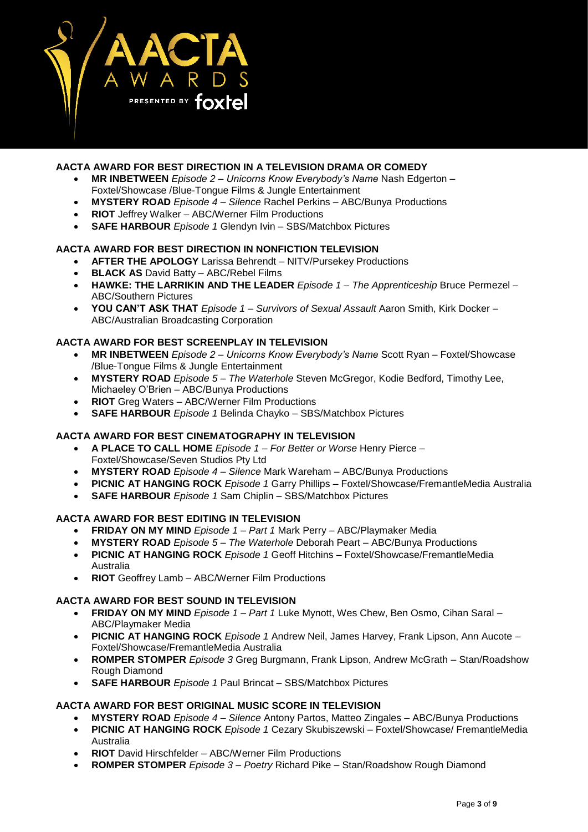

### **AACTA AWARD FOR BEST DIRECTION IN A TELEVISION DRAMA OR COMEDY**

- **MR INBETWEEN** *Episode 2 – Unicorns Know Everybody's Name* Nash Edgerton Foxtel/Showcase /Blue-Tongue Films & Jungle Entertainment
- **MYSTERY ROAD** *Episode 4 – Silence* Rachel Perkins ABC/Bunya Productions
- **RIOT** Jeffrey Walker ABC/Werner Film Productions
- **SAFE HARBOUR** *Episode 1* Glendyn Ivin SBS/Matchbox Pictures

#### **AACTA AWARD FOR BEST DIRECTION IN NONFICTION TELEVISION**

- **AFTER THE APOLOGY** Larissa Behrendt NITV/Pursekey Productions
- **BLACK AS** David Batty ABC/Rebel Films
- **HAWKE: THE LARRIKIN AND THE LEADER** *Episode 1 – The Apprenticeship* Bruce Permezel ABC/Southern Pictures
- **YOU CAN'T ASK THAT** *Episode 1 – Survivors of Sexual Assault* Aaron Smith, Kirk Docker ABC/Australian Broadcasting Corporation

#### **AACTA AWARD FOR BEST SCREENPLAY IN TELEVISION**

- **MR INBETWEEN** *Episode 2 – Unicorns Know Everybody's Name* Scott Ryan Foxtel/Showcase /Blue-Tongue Films & Jungle Entertainment
- **MYSTERY ROAD** *Episode 5 – The Waterhole* Steven McGregor, Kodie Bedford, Timothy Lee, Michaeley O'Brien – ABC/Bunya Productions
- **RIOT** Greg Waters ABC/Werner Film Productions
- **SAFE HARBOUR** *Episode 1* Belinda Chayko SBS/Matchbox Pictures

### **AACTA AWARD FOR BEST CINEMATOGRAPHY IN TELEVISION**

- **A PLACE TO CALL HOME** *Episode 1 – For Better or Worse* Henry Pierce Foxtel/Showcase/Seven Studios Pty Ltd
- **MYSTERY ROAD** *Episode 4 – Silence* Mark Wareham ABC/Bunya Productions
- **PICNIC AT HANGING ROCK** *Episode 1* Garry Phillips Foxtel/Showcase/FremantleMedia Australia
- **SAFE HARBOUR** *Episode 1* Sam Chiplin SBS/Matchbox Pictures

#### **AACTA AWARD FOR BEST EDITING IN TELEVISION**

- **FRIDAY ON MY MIND** *Episode 1 – Part 1* Mark Perry ABC/Playmaker Media
- **MYSTERY ROAD** *Episode 5 – The Waterhole* Deborah Peart ABC/Bunya Productions
- **PICNIC AT HANGING ROCK** *Episode 1* Geoff Hitchins Foxtel/Showcase/FremantleMedia Australia
- **RIOT** Geoffrey Lamb ABC/Werner Film Productions

### **AACTA AWARD FOR BEST SOUND IN TELEVISION**

- **FRIDAY ON MY MIND** *Episode 1 – Part 1* Luke Mynott, Wes Chew, Ben Osmo, Cihan Saral ABC/Playmaker Media
- **PICNIC AT HANGING ROCK** *Episode 1* Andrew Neil, James Harvey, Frank Lipson, Ann Aucote Foxtel/Showcase/FremantleMedia Australia
- **ROMPER STOMPER** *Episode 3* Greg Burgmann, Frank Lipson, Andrew McGrath Stan/Roadshow Rough Diamond
- **SAFE HARBOUR** *Episode 1* Paul Brincat SBS/Matchbox Pictures

### **AACTA AWARD FOR BEST ORIGINAL MUSIC SCORE IN TELEVISION**

- **MYSTERY ROAD** *Episode 4 – Silence* Antony Partos, Matteo Zingales ABC/Bunya Productions
- **PICNIC AT HANGING ROCK** *Episode 1* Cezary Skubiszewski Foxtel/Showcase/ FremantleMedia Australia
- **RIOT** David Hirschfelder ABC/Werner Film Productions
- **ROMPER STOMPER** *Episode 3 – Poetry* Richard Pike Stan/Roadshow Rough Diamond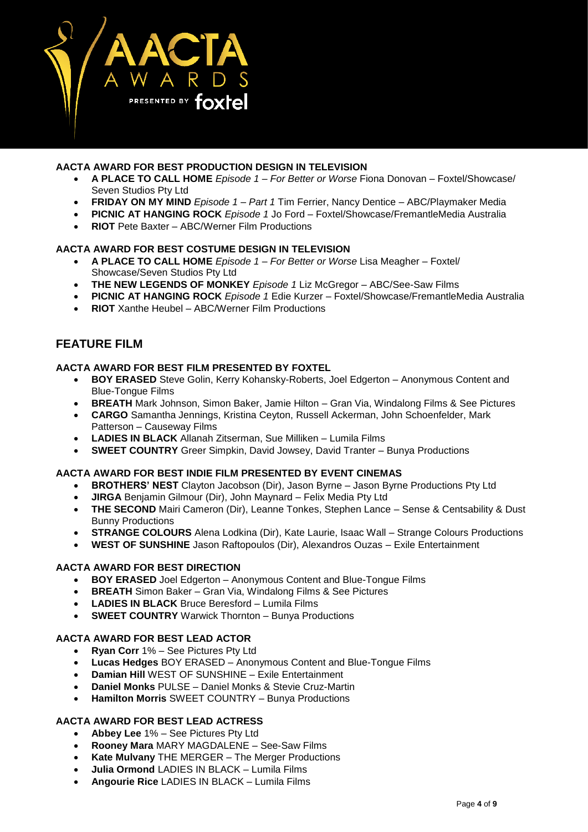

#### **AACTA AWARD FOR BEST PRODUCTION DESIGN IN TELEVISION**

- **A PLACE TO CALL HOME** *Episode 1 – For Better or Worse* Fiona Donovan Foxtel/Showcase/ Seven Studios Pty Ltd
- **FRIDAY ON MY MIND** *Episode 1 – Part 1* Tim Ferrier, Nancy Dentice ABC/Playmaker Media
- **PICNIC AT HANGING ROCK** *Episode 1* Jo Ford Foxtel/Showcase/FremantleMedia Australia
- **RIOT** Pete Baxter ABC/Werner Film Productions

#### **AACTA AWARD FOR BEST COSTUME DESIGN IN TELEVISION**

- **A PLACE TO CALL HOME** *Episode 1 – For Better or Worse* Lisa Meagher Foxtel/ Showcase/Seven Studios Pty Ltd
- **THE NEW LEGENDS OF MONKEY** *Episode 1* Liz McGregor ABC/See-Saw Films
- **PICNIC AT HANGING ROCK** *Episode 1* Edie Kurzer Foxtel/Showcase/FremantleMedia Australia
- **RIOT** Xanthe Heubel ABC/Werner Film Productions

# **FEATURE FILM**

#### **AACTA AWARD FOR BEST FILM PRESENTED BY FOXTEL**

- **BOY ERASED** Steve Golin, Kerry Kohansky-Roberts, Joel Edgerton Anonymous Content and Blue-Tongue Films
- **BREATH** Mark Johnson, Simon Baker, Jamie Hilton Gran Via, Windalong Films & See Pictures
- **CARGO** Samantha Jennings, Kristina Ceyton, Russell Ackerman, John Schoenfelder, Mark Patterson – Causeway Films
- **LADIES IN BLACK** Allanah Zitserman, Sue Milliken Lumila Films
- **SWEET COUNTRY** Greer Simpkin, David Jowsey, David Tranter Bunya Productions

#### **AACTA AWARD FOR BEST INDIE FILM PRESENTED BY EVENT CINEMAS**

- **BROTHERS' NEST** Clayton Jacobson (Dir), Jason Byrne Jason Byrne Productions Pty Ltd
- **JIRGA** Benjamin Gilmour (Dir), John Maynard Felix Media Pty Ltd
- **THE SECOND** Mairi Cameron (Dir), Leanne Tonkes, Stephen Lance Sense & Centsability & Dust Bunny Productions
- **STRANGE COLOURS** Alena Lodkina (Dir), Kate Laurie, Isaac Wall Strange Colours Productions
- **WEST OF SUNSHINE** Jason Raftopoulos (Dir), Alexandros Ouzas Exile Entertainment

#### **AACTA AWARD FOR BEST DIRECTION**

- **BOY ERASED** Joel Edgerton Anonymous Content and Blue-Tongue Films
- **BREATH** Simon Baker Gran Via, Windalong Films & See Pictures
- **LADIES IN BLACK** Bruce Beresford Lumila Films
- **SWEET COUNTRY** Warwick Thornton Bunya Productions

### **AACTA AWARD FOR BEST LEAD ACTOR**

- **Ryan Corr** 1% See Pictures Pty Ltd
- **Lucas Hedges** BOY ERASED Anonymous Content and Blue-Tongue Films
- **Damian Hill** WEST OF SUNSHINE Exile Entertainment
- **Daniel Monks** PULSE Daniel Monks & Stevie Cruz-Martin
- **Hamilton Morris** SWEET COUNTRY Bunya Productions

### **AACTA AWARD FOR BEST LEAD ACTRESS**

- **Abbey Lee** 1% See Pictures Pty Ltd
- **Rooney Mara** MARY MAGDALENE See-Saw Films
- **Kate Mulvany** THE MERGER The Merger Productions
- **Julia Ormond** LADIES IN BLACK Lumila Films
- **Angourie Rice** LADIES IN BLACK Lumila Films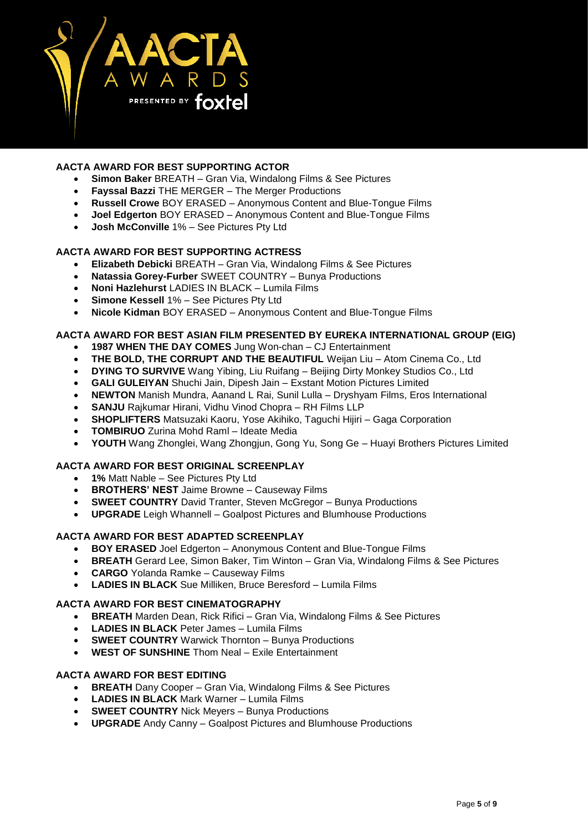

# **AACTA AWARD FOR BEST SUPPORTING ACTOR**

- **Simon Baker** BREATH Gran Via, Windalong Films & See Pictures
- **Fayssal Bazzi** THE MERGER The Merger Productions
- **Russell Crowe** BOY ERASED Anonymous Content and Blue-Tongue Films
- **Joel Edgerton** BOY ERASED Anonymous Content and Blue-Tongue Films
- **Josh McConville** 1% See Pictures Pty Ltd

### **AACTA AWARD FOR BEST SUPPORTING ACTRESS**

- **Elizabeth Debicki** BREATH Gran Via, Windalong Films & See Pictures
- **Natassia Gorey-Furber** SWEET COUNTRY Bunya Productions
- **Noni Hazlehurst** LADIES IN BLACK Lumila Films
- **Simone Kessell** 1% See Pictures Pty Ltd
- **Nicole Kidman** BOY ERASED Anonymous Content and Blue-Tongue Films

#### **AACTA AWARD FOR BEST ASIAN FILM PRESENTED BY EUREKA INTERNATIONAL GROUP (EIG)**

- **1987 WHEN THE DAY COMES** Jung Won-chan CJ Entertainment
- **THE BOLD, THE CORRUPT AND THE BEAUTIFUL** Weijan Liu Atom Cinema Co., Ltd
- **DYING TO SURVIVE** Wang Yibing, Liu Ruifang Beijing Dirty Monkey Studios Co., Ltd
- **GALI GULEIYAN** Shuchi Jain, Dipesh Jain Exstant Motion Pictures Limited
- **NEWTON** Manish Mundra, Aanand L Rai, Sunil Lulla Dryshyam Films, Eros International
- **SANJU** Rajkumar Hirani, Vidhu Vinod Chopra RH Films LLP
- **SHOPLIFTERS** Matsuzaki Kaoru, Yose Akihiko, Taguchi Hijiri Gaga Corporation
- **TOMBIRUO** Zurina Mohd Raml Ideate Media
- **YOUTH** Wang Zhonglei, Wang Zhongjun, Gong Yu, Song Ge Huayi Brothers Pictures Limited

### **AACTA AWARD FOR BEST ORIGINAL SCREENPLAY**

- **1%** Matt Nable See Pictures Pty Ltd
- **BROTHERS' NEST** Jaime Browne Causeway Films
- **SWEET COUNTRY** David Tranter, Steven McGregor Bunya Productions
- **UPGRADE** Leigh Whannell Goalpost Pictures and Blumhouse Productions

# **AACTA AWARD FOR BEST ADAPTED SCREENPLAY**

- **BOY ERASED** Joel Edgerton Anonymous Content and Blue-Tongue Films
- **BREATH** Gerard Lee, Simon Baker, Tim Winton Gran Via, Windalong Films & See Pictures
- **CARGO** Yolanda Ramke Causeway Films
- **LADIES IN BLACK** Sue Milliken, Bruce Beresford Lumila Films

### **AACTA AWARD FOR BEST CINEMATOGRAPHY**

- **BREATH** Marden Dean, Rick Rifici Gran Via, Windalong Films & See Pictures
- **LADIES IN BLACK** Peter James Lumila Films
- **SWEET COUNTRY** Warwick Thornton Bunya Productions
- **WEST OF SUNSHINE** Thom Neal Exile Entertainment

# **AACTA AWARD FOR BEST EDITING**

- **BREATH** Dany Cooper Gran Via, Windalong Films & See Pictures
- **LADIES IN BLACK** Mark Warner Lumila Films
- **SWEET COUNTRY** Nick Meyers Bunya Productions
- **UPGRADE** Andy Canny Goalpost Pictures and Blumhouse Productions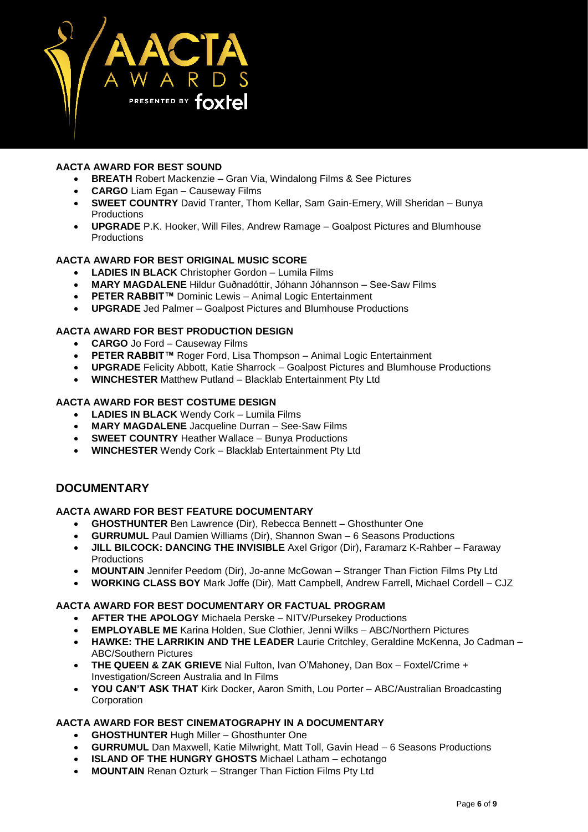

# **AACTA AWARD FOR BEST SOUND**

- **BREATH** Robert Mackenzie Gran Via, Windalong Films & See Pictures
- **CARGO** Liam Egan Causeway Films
- **SWEET COUNTRY** David Tranter, Thom Kellar, Sam Gain-Emery, Will Sheridan Bunya Productions
- **UPGRADE** P.K. Hooker, Will Files, Andrew Ramage Goalpost Pictures and Blumhouse **Productions**

### **AACTA AWARD FOR BEST ORIGINAL MUSIC SCORE**

- **LADIES IN BLACK** Christopher Gordon Lumila Films
- **MARY MAGDALENE** Hildur Guðnadóttir, Jóhann Jóhannson See-Saw Films
- **PETER RABBIT™** Dominic Lewis Animal Logic Entertainment
- **UPGRADE** Jed Palmer Goalpost Pictures and Blumhouse Productions

#### **AACTA AWARD FOR BEST PRODUCTION DESIGN**

- **CARGO** Jo Ford Causeway Films
- **PETER RABBIT™** Roger Ford, Lisa Thompson Animal Logic Entertainment
- **UPGRADE** Felicity Abbott, Katie Sharrock Goalpost Pictures and Blumhouse Productions
- **WINCHESTER** Matthew Putland Blacklab Entertainment Pty Ltd

#### **AACTA AWARD FOR BEST COSTUME DESIGN**

- **LADIES IN BLACK** Wendy Cork Lumila Films
- **MARY MAGDALENE** Jacqueline Durran See-Saw Films
- **SWEET COUNTRY** Heather Wallace Bunya Productions
- **WINCHESTER** Wendy Cork Blacklab Entertainment Pty Ltd

# **DOCUMENTARY**

#### **AACTA AWARD FOR BEST FEATURE DOCUMENTARY**

- **GHOSTHUNTER** Ben Lawrence (Dir), Rebecca Bennett Ghosthunter One
- **GURRUMUL** Paul Damien Williams (Dir), Shannon Swan 6 Seasons Productions
- **JILL BILCOCK: DANCING THE INVISIBLE** Axel Grigor (Dir), Faramarz K-Rahber Faraway Productions
- **MOUNTAIN** Jennifer Peedom (Dir), Jo-anne McGowan Stranger Than Fiction Films Pty Ltd
- **WORKING CLASS BOY** Mark Joffe (Dir), Matt Campbell, Andrew Farrell, Michael Cordell CJZ

#### **AACTA AWARD FOR BEST DOCUMENTARY OR FACTUAL PROGRAM**

- **AFTER THE APOLOGY** Michaela Perske NITV/Pursekey Productions
- **EMPLOYABLE ME** Karina Holden, Sue Clothier, Jenni Wilks ABC/Northern Pictures
- **HAWKE: THE LARRIKIN AND THE LEADER** Laurie Critchley, Geraldine McKenna, Jo Cadman ABC/Southern Pictures
- **THE QUEEN & ZAK GRIEVE** Nial Fulton, Ivan O'Mahoney, Dan Box Foxtel/Crime + Investigation/Screen Australia and In Films
- **YOU CAN'T ASK THAT** Kirk Docker, Aaron Smith, Lou Porter ABC/Australian Broadcasting **Corporation**

# **AACTA AWARD FOR BEST CINEMATOGRAPHY IN A DOCUMENTARY**

- **GHOSTHUNTER** Hugh Miller Ghosthunter One
- **GURRUMUL** Dan Maxwell, Katie Milwright, Matt Toll, Gavin Head 6 Seasons Productions
- **ISLAND OF THE HUNGRY GHOSTS** Michael Latham echotango
- **MOUNTAIN** Renan Ozturk Stranger Than Fiction Films Pty Ltd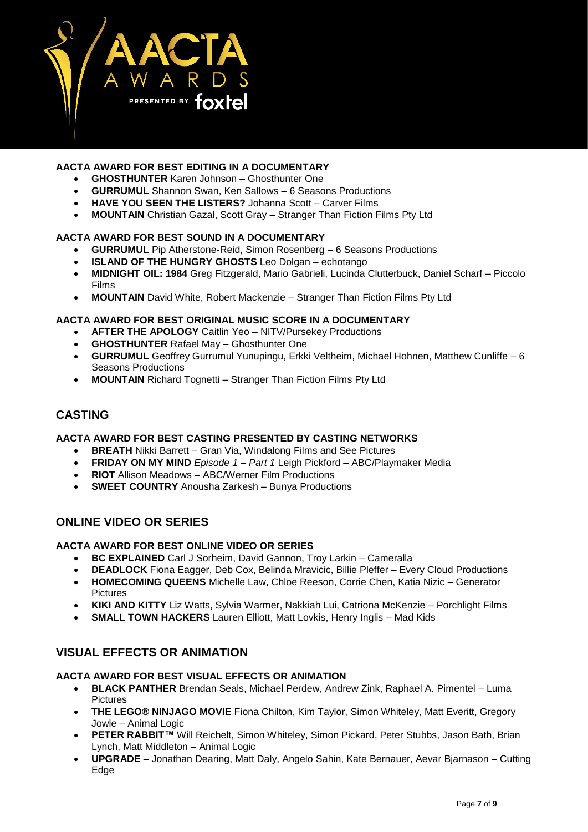

# **AACTA AWARD FOR BEST EDITING IN A DOCUMENTARY**

- **GHOSTHUNTER** Karen Johnson Ghosthunter One
- **GURRUMUL** Shannon Swan, Ken Sallows 6 Seasons Productions
- **HAVE YOU SEEN THE LISTERS?** Johanna Scott Carver Films
- **MOUNTAIN** Christian Gazal, Scott Gray Stranger Than Fiction Films Pty Ltd

### **AACTA AWARD FOR BEST SOUND IN A DOCUMENTARY**

- **GURRUMUL** Pip Atherstone-Reid, Simon Rosenberg 6 Seasons Productions
- **ISLAND OF THE HUNGRY GHOSTS** Leo Dolgan echotango
- **MIDNIGHT OIL: 1984** Greg Fitzgerald, Mario Gabrieli, Lucinda Clutterbuck, Daniel Scharf Piccolo Films
- **MOUNTAIN** David White, Robert Mackenzie Stranger Than Fiction Films Pty Ltd

### **AACTA AWARD FOR BEST ORIGINAL MUSIC SCORE IN A DOCUMENTARY**

- **AFTER THE APOLOGY** Caitlin Yeo NITV/Pursekey Productions
- **GHOSTHUNTER** Rafael May Ghosthunter One
- **GURRUMUL** Geoffrey Gurrumul Yunupingu, Erkki Veltheim, Michael Hohnen, Matthew Cunliffe 6 Seasons Productions
- **MOUNTAIN** Richard Tognetti Stranger Than Fiction Films Pty Ltd

# **CASTING**

#### **AACTA AWARD FOR BEST CASTING PRESENTED BY CASTING NETWORKS**

- **BREATH** Nikki Barrett Gran Via, Windalong Films and See Pictures
- **FRIDAY ON MY MIND** *Episode 1 – Part 1* Leigh Pickford ABC/Playmaker Media
- **RIOT** Allison Meadows ABC/Werner Film Productions
- **SWEET COUNTRY** Anousha Zarkesh Bunya Productions

# **ONLINE VIDEO OR SERIES**

# **AACTA AWARD FOR BEST ONLINE VIDEO OR SERIES**

- **BC EXPLAINED** Carl J Sorheim, David Gannon, Troy Larkin Cameralla
- **DEADLOCK** Fiona Eagger, Deb Cox, Belinda Mravicic, Billie Pleffer Every Cloud Productions
- **HOMECOMING QUEENS** Michelle Law, Chloe Reeson, Corrie Chen, Katia Nizic Generator Pictures
- **KIKI AND KITTY** Liz Watts, Sylvia Warmer, Nakkiah Lui, Catriona McKenzie Porchlight Films
- **SMALL TOWN HACKERS** Lauren Elliott, Matt Lovkis, Henry Inglis Mad Kids

# **VISUAL EFFECTS OR ANIMATION**

#### **AACTA AWARD FOR BEST VISUAL EFFECTS OR ANIMATION**

- **BLACK PANTHER** Brendan Seals, Michael Perdew, Andrew Zink, Raphael A. Pimentel Luma Pictures
- **THE LEGO® NINJAGO MOVIE** Fiona Chilton, Kim Taylor, Simon Whiteley, Matt Everitt, Gregory Jowle – Animal Logic
- **PETER RABBIT™** Will Reichelt, Simon Whiteley, Simon Pickard, Peter Stubbs, Jason Bath, Brian Lynch, Matt Middleton – Animal Logic
- **UPGRADE** Jonathan Dearing, Matt Daly, Angelo Sahin, Kate Bernauer, Aevar Bjarnason Cutting Edge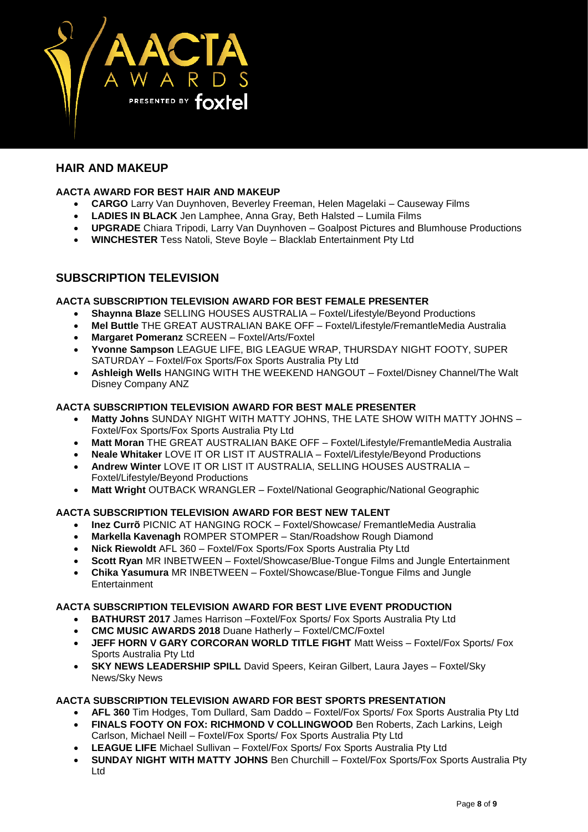

# **HAIR AND MAKEUP**

# **AACTA AWARD FOR BEST HAIR AND MAKEUP**

- **CARGO** Larry Van Duynhoven, Beverley Freeman, Helen Magelaki Causeway Films
- **LADIES IN BLACK** Jen Lamphee, Anna Gray, Beth Halsted Lumila Films
- **UPGRADE** Chiara Tripodi, Larry Van Duynhoven Goalpost Pictures and Blumhouse Productions
- **WINCHESTER** Tess Natoli, Steve Boyle Blacklab Entertainment Pty Ltd

# **SUBSCRIPTION TELEVISION**

### **AACTA SUBSCRIPTION TELEVISION AWARD FOR BEST FEMALE PRESENTER**

- **Shaynna Blaze** SELLING HOUSES AUSTRALIA Foxtel/Lifestyle/Beyond Productions
- **Mel Buttle** THE GREAT AUSTRALIAN BAKE OFF Foxtel/Lifestyle/FremantleMedia Australia
- **Margaret Pomeranz** SCREEN Foxtel/Arts/Foxtel
- **Yvonne Sampson** LEAGUE LIFE, BIG LEAGUE WRAP, THURSDAY NIGHT FOOTY, SUPER SATURDAY – Foxtel/Fox Sports/Fox Sports Australia Pty Ltd
- **Ashleigh Wells** HANGING WITH THE WEEKEND HANGOUT Foxtel/Disney Channel/The Walt Disney Company ANZ

### **AACTA SUBSCRIPTION TELEVISION AWARD FOR BEST MALE PRESENTER**

- **Matty Johns** SUNDAY NIGHT WITH MATTY JOHNS, THE LATE SHOW WITH MATTY JOHNS Foxtel/Fox Sports/Fox Sports Australia Pty Ltd
- **Matt Moran** THE GREAT AUSTRALIAN BAKE OFF Foxtel/Lifestyle/FremantleMedia Australia
- **Neale Whitaker** LOVE IT OR LIST IT AUSTRALIA Foxtel/Lifestyle/Beyond Productions
- **Andrew Winter** LOVE IT OR LIST IT AUSTRALIA, SELLING HOUSES AUSTRALIA Foxtel/Lifestyle/Beyond Productions
- **Matt Wright** OUTBACK WRANGLER Foxtel/National Geographic/National Geographic

### **AACTA SUBSCRIPTION TELEVISION AWARD FOR BEST NEW TALENT**

- **Inez Currõ** PICNIC AT HANGING ROCK Foxtel/Showcase/ FremantleMedia Australia
- **Markella Kavenagh** ROMPER STOMPER Stan/Roadshow Rough Diamond
- **Nick Riewoldt** AFL 360 Foxtel/Fox Sports/Fox Sports Australia Pty Ltd
- **Scott Ryan** MR INBETWEEN Foxtel/Showcase/Blue-Tongue Films and Jungle Entertainment
- **Chika Yasumura** MR INBETWEEN Foxtel/Showcase/Blue-Tongue Films and Jungle **Entertainment**

### **AACTA SUBSCRIPTION TELEVISION AWARD FOR BEST LIVE EVENT PRODUCTION**

- **BATHURST 2017** James Harrison Foxtel/Fox Sports/ Fox Sports Australia Pty Ltd
- **CMC MUSIC AWARDS 2018** Duane Hatherly Foxtel/CMC/Foxtel
- **JEFF HORN V GARY CORCORAN WORLD TITLE FIGHT** Matt Weiss Foxtel/Fox Sports/ Fox Sports Australia Pty Ltd
- **SKY NEWS LEADERSHIP SPILL** David Speers, Keiran Gilbert, Laura Jayes Foxtel/Sky News/Sky News

# **AACTA SUBSCRIPTION TELEVISION AWARD FOR BEST SPORTS PRESENTATION**

- **AFL 360** Tim Hodges, Tom Dullard, Sam Daddo Foxtel/Fox Sports/ Fox Sports Australia Pty Ltd
- **FINALS FOOTY ON FOX: RICHMOND V COLLINGWOOD** Ben Roberts, Zach Larkins, Leigh Carlson, Michael Neill – Foxtel/Fox Sports/ Fox Sports Australia Pty Ltd
- **LEAGUE LIFE** Michael Sullivan Foxtel/Fox Sports/ Fox Sports Australia Pty Ltd
- **SUNDAY NIGHT WITH MATTY JOHNS** Ben Churchill Foxtel/Fox Sports/Fox Sports Australia Pty Ltd